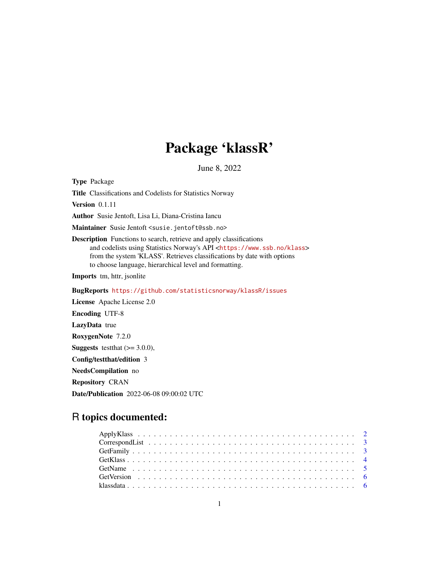## Package 'klassR'

June 8, 2022

Type Package

Title Classifications and Codelists for Statistics Norway

Version 0.1.11

Author Susie Jentoft, Lisa Li, Diana-Cristina Iancu

Maintainer Susie Jentoft <susie.jentoft@ssb.no>

Description Functions to search, retrieve and apply classifications and codelists using Statistics Norway's API <<https://www.ssb.no/klass>> from the system 'KLASS'. Retrieves classifications by date with options to choose language, hierarchical level and formatting.

Imports tm, httr, jsonlite

BugReports <https://github.com/statisticsnorway/klassR/issues>

License Apache License 2.0 Encoding UTF-8 LazyData true RoxygenNote 7.2.0 **Suggests** testthat  $(>= 3.0.0)$ , Config/testthat/edition 3 NeedsCompilation no Repository CRAN Date/Publication 2022-06-08 09:00:02 UTC

### R topics documented: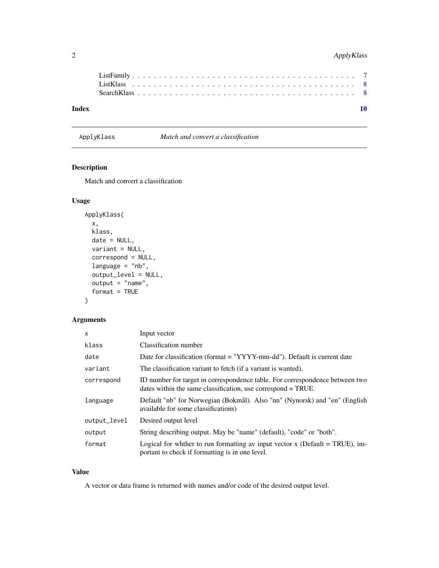#### <span id="page-1-0"></span>2 ApplyKlass

| Index |  |  |  |  |  |  |  |  |  |  |  |  |  |  |  |  |  |  |  |
|-------|--|--|--|--|--|--|--|--|--|--|--|--|--|--|--|--|--|--|--|
|       |  |  |  |  |  |  |  |  |  |  |  |  |  |  |  |  |  |  |  |
|       |  |  |  |  |  |  |  |  |  |  |  |  |  |  |  |  |  |  |  |
|       |  |  |  |  |  |  |  |  |  |  |  |  |  |  |  |  |  |  |  |
|       |  |  |  |  |  |  |  |  |  |  |  |  |  |  |  |  |  |  |  |

ApplyKlass *Match and convert a classification*

#### Description

Match and convert a classification

#### Usage

```
ApplyKlass(
  x,
 klass,
 date = NULL,
 variant = NULL,
  correspond = NULL,
  language = "nb",
  output_level = NULL,
  output = "name",
  format = TRUE)
```
#### Arguments

| $\mathsf{x}$ | Input vector                                                                                                                                 |
|--------------|----------------------------------------------------------------------------------------------------------------------------------------------|
| klass        | Classification number                                                                                                                        |
| date         | Date for classification (format = "YYYY-mm-dd"). Default is current date                                                                     |
| variant      | The classification variant to fetch (if a variant is wanted).                                                                                |
| correspond   | ID number for target in correspondence table. For correspondence between two<br>dates within the same classification, use correspond = TRUE. |
| language     | Default "nb" for Norwegian (Bokmål). Also "nn" (Nynorsk) and "en" (English<br>available for some classifications)                            |
| output_level | Desired output level                                                                                                                         |
| output       | String describing output. May be "name" (default), "code" or "both".                                                                         |
| format       | Logical for whither to run formatting av input vector x (Default $=$ TRUE), im-<br>portant to check if formatting is in one level.           |

#### Value

A vector or data frame is returned with names and/or code of the desired output level.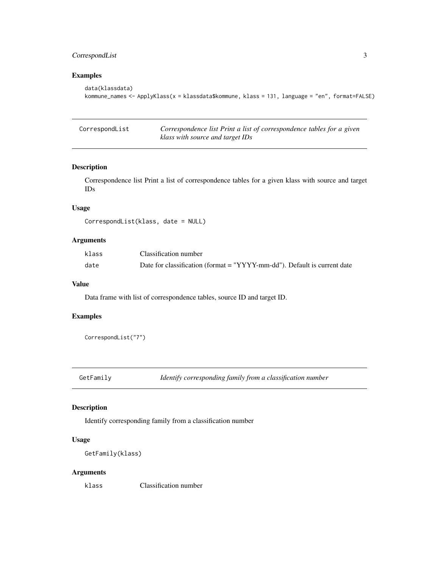#### <span id="page-2-0"></span>CorrespondList 3

#### Examples

```
data(klassdata)
kommune_names <- ApplyKlass(x = klassdata$kommune, klass = 131, language = "en", format=FALSE)
```

| CorrespondList | Correspondence list Print a list of correspondence tables for a given |
|----------------|-----------------------------------------------------------------------|
|                | klass with source and target IDs                                      |

#### Description

Correspondence list Print a list of correspondence tables for a given klass with source and target IDs

#### Usage

```
CorrespondList(klass, date = NULL)
```
#### Arguments

| klass | Classification number                                                    |
|-------|--------------------------------------------------------------------------|
| date  | Date for classification (format = "YYYY-mm-dd"). Default is current date |

#### Value

Data frame with list of correspondence tables, source ID and target ID.

#### Examples

CorrespondList("7")

GetFamily *Identify corresponding family from a classification number*

#### Description

Identify corresponding family from a classification number

#### Usage

GetFamily(klass)

#### Arguments

klass Classification number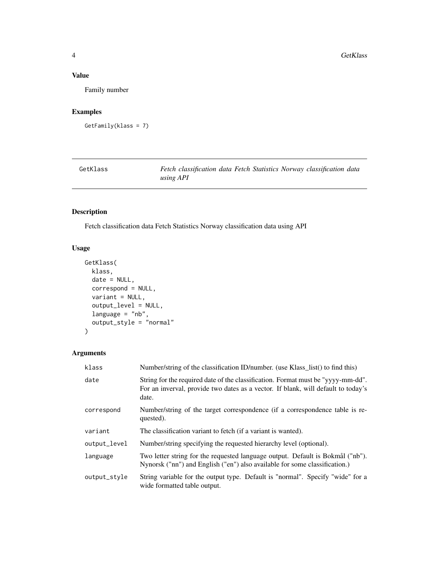#### <span id="page-3-0"></span>Value

Family number

#### Examples

```
GetFamily(klass = 7)
```

| GetKlass | Fetch classification data Fetch Statistics Norway classification data |
|----------|-----------------------------------------------------------------------|
|          | using API                                                             |

#### Description

Fetch classification data Fetch Statistics Norway classification data using API

#### Usage

```
GetKlass(
 klass,
  date = NULL,
 correspond = NULL,
 variant = NULL,
 output_level = NULL,
 language = "nb",output_style = "normal"
)
```
#### Arguments

| klass        | Number/string of the classification ID/number. (use Klass_list() to find this)                                                                                                 |
|--------------|--------------------------------------------------------------------------------------------------------------------------------------------------------------------------------|
| date         | String for the required date of the classification. Format must be "yyyy-mm-dd".<br>For an inverval, provide two dates as a vector. If blank, will default to today's<br>date. |
| correspond   | Number/string of the target correspondence (if a correspondence table is re-<br>quested).                                                                                      |
| variant      | The classification variant to fetch (if a variant is wanted).                                                                                                                  |
| output_level | Number/string specifying the requested hierarchy level (optional).                                                                                                             |
| language     | Two letter string for the requested language output. Default is Bokmål ("nb").<br>Nynorsk ("nn") and English ("en") also available for some classification.)                   |
| output_style | String variable for the output type. Default is "normal". Specify "wide" for a<br>wide formatted table output.                                                                 |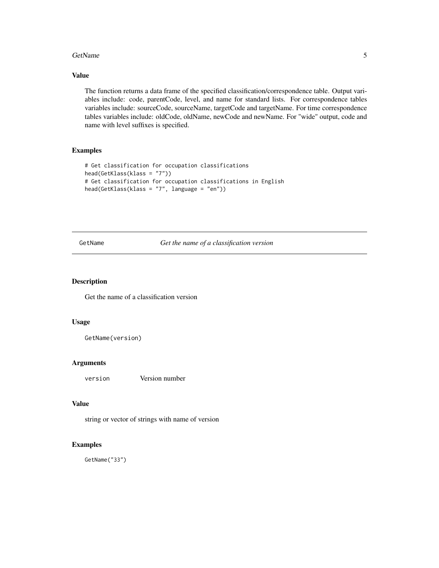#### <span id="page-4-0"></span>GetName 5

#### Value

The function returns a data frame of the specified classification/correspondence table. Output variables include: code, parentCode, level, and name for standard lists. For correspondence tables variables include: sourceCode, sourceName, targetCode and targetName. For time correspondence tables variables include: oldCode, oldName, newCode and newName. For "wide" output, code and name with level suffixes is specified.

#### Examples

```
# Get classification for occupation classifications
head(GetKlass(klass = "7"))
# Get classification for occupation classifications in English
head(GetKlass(klass = "7", language = "en"))
```
GetName *Get the name of a classification version*

#### Description

Get the name of a classification version

#### Usage

```
GetName(version)
```
#### Arguments

version Version number

#### Value

string or vector of strings with name of version

#### Examples

GetName("33")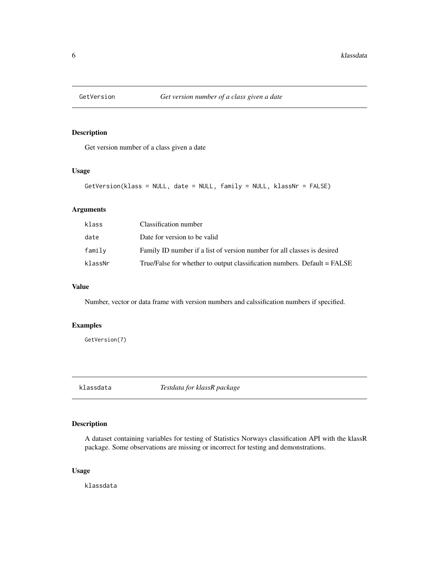<span id="page-5-0"></span>

#### Description

Get version number of a class given a date

#### Usage

```
GetVersion(klass = NULL, date = NULL, family = NULL, klassNr = FALSE)
```
#### Arguments

| klass   | Classification number                                                    |
|---------|--------------------------------------------------------------------------|
| date    | Date for version to be valid                                             |
| family  | Family ID number if a list of version number for all classes is desired  |
| klassNr | True/False for whether to output classification numbers. Default = FALSE |

#### Value

Number, vector or data frame with version numbers and calssification numbers if specified.

#### Examples

GetVersion(7)

klassdata *Testdata for klassR package*

#### Description

A dataset containing variables for testing of Statistics Norways classification API with the klassR package. Some observations are missing or incorrect for testing and demonstrations.

#### Usage

klassdata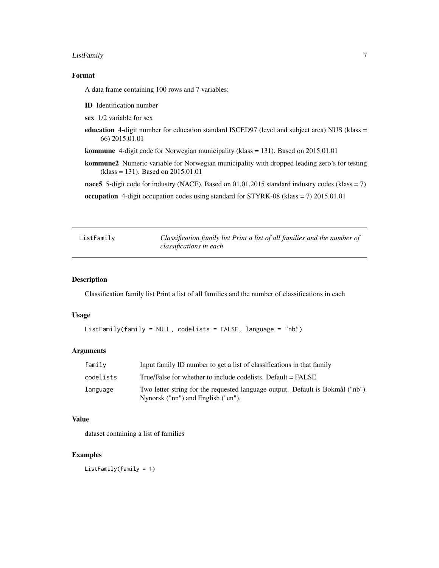#### <span id="page-6-0"></span>ListFamily 7

#### Format

A data frame containing 100 rows and 7 variables:

- ID Identification number
- sex 1/2 variable for sex
- education 4-digit number for education standard ISCED97 (level and subject area) NUS (klass = 66) 2015.01.01

kommune 4-digit code for Norwegian municipality (klass = 131). Based on 2015.01.01

kommune2 Numeric variable for Norwegian municipality with dropped leading zero's for testing (klass = 131). Based on 2015.01.01

nace5 5-digit code for industry (NACE). Based on 01.01.2015 standard industry codes (klass = 7)

occupation 4-digit occupation codes using standard for STYRK-08 (klass = 7) 2015.01.01

ListFamily *Classification family list Print a list of all families and the number of classifications in each*

#### Description

Classification family list Print a list of all families and the number of classifications in each

#### Usage

```
ListFamily(family = NULL, codelists = FALSE, language = "nb")
```
#### Arguments

| family    | Input family ID number to get a list of classifications in that family                                               |
|-----------|----------------------------------------------------------------------------------------------------------------------|
| codelists | True/False for whether to include codelists. Default = FALSE                                                         |
| language  | Two letter string for the requested language output. Default is Bokmål ("nb").<br>Nynorsk ("nn") and English ("en"). |

#### Value

dataset containing a list of families

#### Examples

ListFamily(family = 1)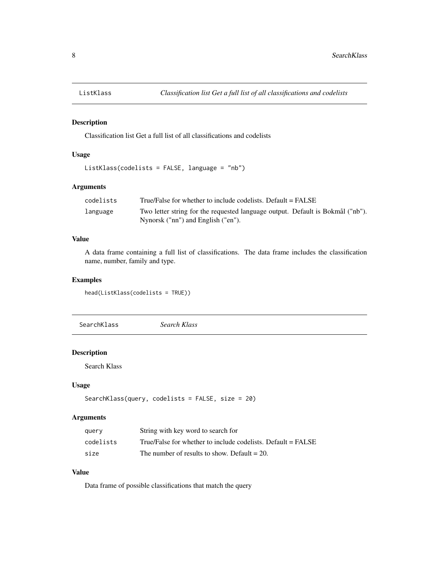<span id="page-7-0"></span>

#### Description

Classification list Get a full list of all classifications and codelists

#### Usage

```
ListKlass(codelists = FALSE, language = "nb")
```
#### Arguments

| codelists | True/False for whether to include codelists. Default = FALSE                   |
|-----------|--------------------------------------------------------------------------------|
| language  | Two letter string for the requested language output. Default is Bokmål ("nb"). |
|           | Nynorsk ("nn") and English ("en").                                             |

#### Value

A data frame containing a full list of classifications. The data frame includes the classification name, number, family and type.

#### Examples

head(ListKlass(codelists = TRUE))

SearchKlass *Search Klass*

#### Description

Search Klass

#### Usage

```
SearchKlass(query, codelists = FALSE, size = 20)
```
#### Arguments

| query     | String with key word to search for                           |
|-----------|--------------------------------------------------------------|
| codelists | True/False for whether to include codelists. Default = FALSE |
| size      | The number of results to show. Default $= 20$ .              |

#### Value

Data frame of possible classifications that match the query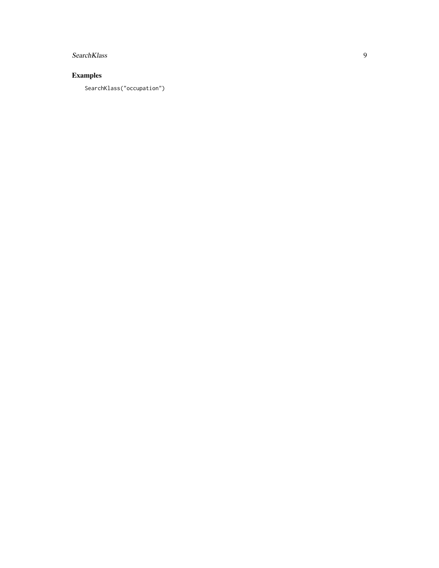#### SearchKlass

#### Examples

SearchKlass("occupation")